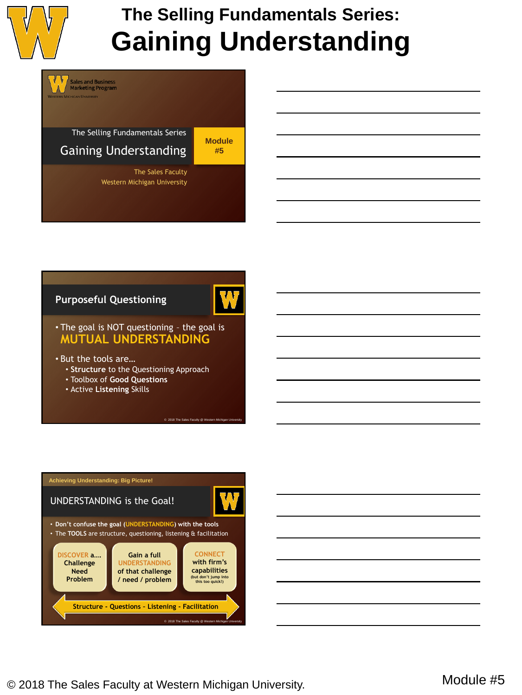



## **Purposeful Questioning**



© 2018 The Sales Faculty @ Western Michig

- The goal is NOT questioning the goal is **MUTUAL UNDERSTANDING**
- But the tools are…
	- **Structure** to the Questioning Approach
	- Toolbox of **Good Questions**
	- Active **Listening** Skills



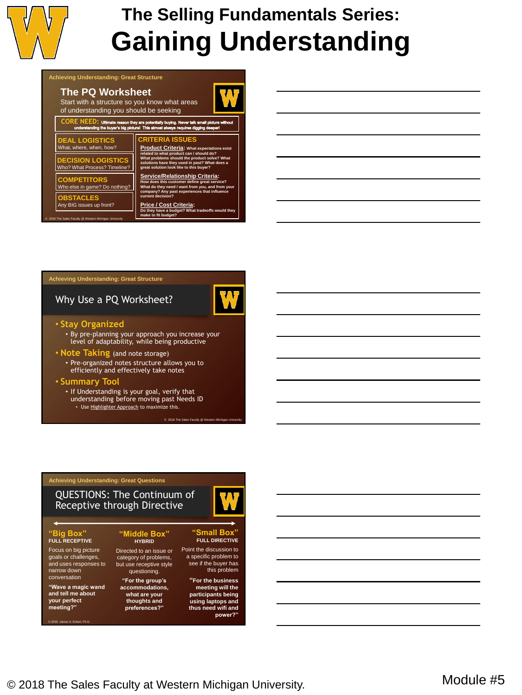

### **Achieving Understanding: Great Structure**

## **The PQ Worksheet**

Start with a structure so you know what areas of understanding you should be seeking

#### **CORE NEED:** Ultim ate reason they are pot<br>ryer's big picture! This

## **DEAL LOGISTICS** What, where, when, how? **DECISION LOGISTICS** Who? What Process? Timeline? **CRITERIA ISSUES COMPETITORS**

**BSTACLES** Any BIG issues up front?

ty @ V

**Product Criteria: What expectations exist related to what product can / should do? What problems should the product solve? What solutions have they used in past? What does a great solution look like to this buyer? Service/Relationship Criteria: w** does this customer define great se **What do they need / want from you, and from your company? Any past experiences that influence current decision? Price / Cost Criteria: Do they have a budget? What tradeoffs would they ey have a budg<br>to fit budget?** Who else in game? Do nothing?

### **Achieving Understanding: Great Structure**

## Why Use a PQ Worksheet?

© 2018 The Sales Faculty @ W

### • **Stay Organized**

• By pre-planning your approach you increase your level of adaptability, while being productive

### • **Note Taking** (and note storage)

• Pre-organized notes structure allows you to efficiently and effectively take notes

#### • **Summary Tool**

• If Understanding is your goal, verify that understanding before moving past Needs ID • Use Highlighter Approach to maximize this.

## **Achieving Understanding: Great Questions**

## QUESTIONS: The Continuum of Receptive through Directive

**"Middle Box" HYBRID** Directed to an issue or category of problems, but use receptive style questioning. **"For the group's accommodations,** 

## **"Big Box" FULL RECEPTIVE**

Focus on big picture goals or challenges, and uses responses to narrow down conversation

#### **"Wave a magic wand and tell me about your perfect meeting?"**

es A. Eckert, Ph.D

**what are your thoughts and preferences?"**

-13

#### **"Small Box" FULL DIRECTIVE**

Point the discussion to a specific problem to see if the buyer has this problem

#### **"For the business meeting will the participants being using laptops and thus need wifi and**

power?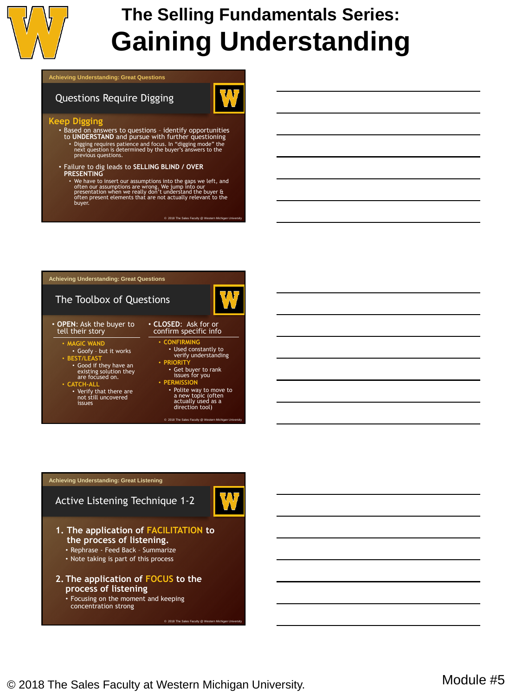

#### **Achieving Understanding: Great Questions**

## Questions Require Digging



- Based on answers to questions identify opportunities to **UNDERSTAND** and pursue with further questioning • Digging requires patience and focus. In "digging mode" the next question is determined by the buyer's answers to the previous questions.
- Failure to dig leads to **SELLING BLIND / OVER PRESENTING**
	- We have to insert our assumptions into the gaps we left, and<br>often our assumptions are wrong. We jump into our<br>presentation when we really don't understand the buyer &<br>often present elements that are not actually relevan

© 2018 The Sales Faculty @ We